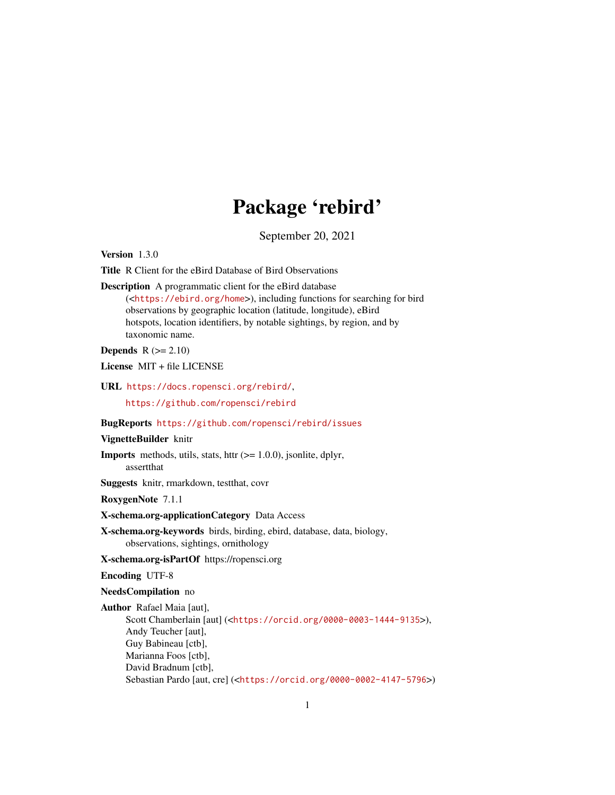# Package 'rebird'

September 20, 2021

<span id="page-0-0"></span>Version 1.3.0

Title R Client for the eBird Database of Bird Observations

Description A programmatic client for the eBird database (<<https://ebird.org/home>>), including functions for searching for bird observations by geographic location (latitude, longitude), eBird hotspots, location identifiers, by notable sightings, by region, and by taxonomic name.

Depends  $R (= 2.10)$ 

License MIT + file LICENSE

URL <https://docs.ropensci.org/rebird/>,

<https://github.com/ropensci/rebird>

#### BugReports <https://github.com/ropensci/rebird/issues>

#### VignetteBuilder knitr

**Imports** methods, utils, stats, httr  $(>= 1.0.0)$ , jsonlite, dplyr, assertthat

Suggests knitr, rmarkdown, testthat, covr

RoxygenNote 7.1.1

#### X-schema.org-applicationCategory Data Access

X-schema.org-keywords birds, birding, ebird, database, data, biology, observations, sightings, ornithology

X-schema.org-isPartOf https://ropensci.org

#### Encoding UTF-8

NeedsCompilation no

Author Rafael Maia [aut], Scott Chamberlain [aut] (<<https://orcid.org/0000-0003-1444-9135>>), Andy Teucher [aut], Guy Babineau [ctb], Marianna Foos [ctb], David Bradnum [ctb], Sebastian Pardo [aut, cre] (<<https://orcid.org/0000-0002-4147-5796>>)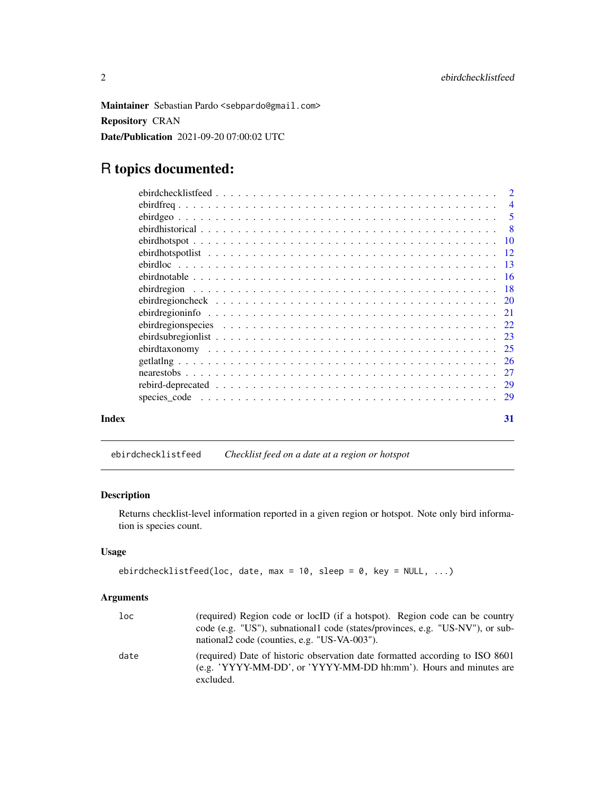<span id="page-1-0"></span>Maintainer Sebastian Pardo <sebpardo@gmail.com> Repository CRAN Date/Publication 2021-09-20 07:00:02 UTC

## R topics documented:

| Index | 31 |
|-------|----|

ebirdchecklistfeed *Checklist feed on a date at a region or hotspot*

#### Description

Returns checklist-level information reported in a given region or hotspot. Note only bird information is species count.

#### Usage

```
ebirdchecklistfeed(loc, date, max = 10, sleep = 0, key = NULL, ...)
```

| loc  | (required) Region code or locID (if a hotspot). Region code can be country<br>code (e.g. "US"), subnational code (states/provinces, e.g. "US-NV"), or sub-<br>national code (counties, e.g. "US-VA-003"). |
|------|-----------------------------------------------------------------------------------------------------------------------------------------------------------------------------------------------------------|
| date | (required) Date of historic observation date formatted according to ISO 8601<br>(e.g. 'YYYY-MM-DD', or 'YYYY-MM-DD hh:mm'). Hours and minutes are<br>excluded.                                            |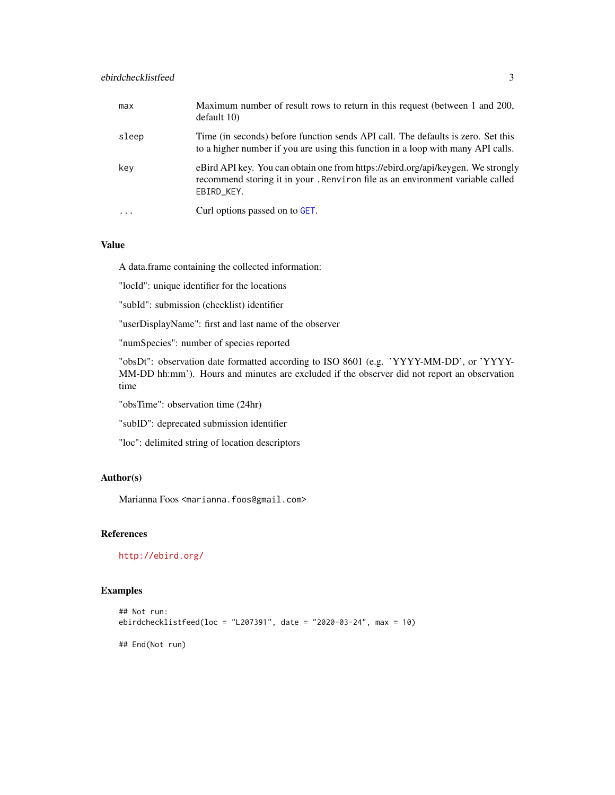<span id="page-2-0"></span>

| max       | Maximum number of result rows to return in this request (between 1 and 200,<br>default 10                                                                                       |
|-----------|---------------------------------------------------------------------------------------------------------------------------------------------------------------------------------|
| sleep     | Time (in seconds) before function sends API call. The defaults is zero. Set this<br>to a higher number if you are using this function in a loop with many API calls.            |
| key       | eBird API key. You can obtain one from https://ebird.org/api/keygen. We strongly<br>recommend storing it in your. Renviron file as an environment variable called<br>EBIRD_KEY. |
| $\cdot$ . | Curl options passed on to GET.                                                                                                                                                  |

#### Value

A data.frame containing the collected information:

"locId": unique identifier for the locations

"subId": submission (checklist) identifier

"userDisplayName": first and last name of the observer

"numSpecies": number of species reported

"obsDt": observation date formatted according to ISO 8601 (e.g. 'YYYY-MM-DD', or 'YYYY-MM-DD hh:mm'). Hours and minutes are excluded if the observer did not report an observation time

"obsTime": observation time (24hr)

"subID": deprecated submission identifier

"loc": delimited string of location descriptors

#### Author(s)

Marianna Foos <marianna.foos@gmail.com>

#### References

<http://ebird.org/>

#### Examples

```
## Not run:
ebirdchecklistfeed(loc = "L207391", date = "2020-03-24", max = 10)
## End(Not run)
```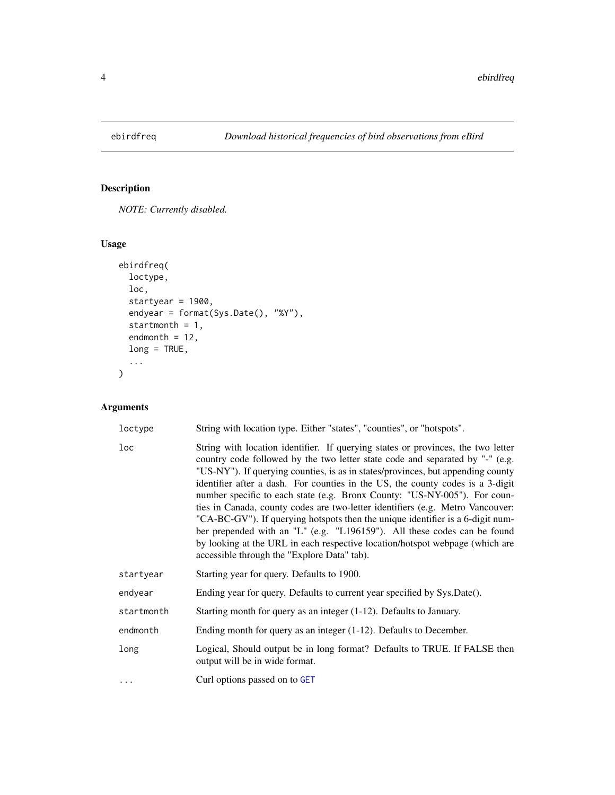<span id="page-3-0"></span>

#### Description

*NOTE: Currently disabled.*

#### Usage

```
ebirdfreq(
  loctype,
  loc,
  startyear = 1900,
  endyear = format(Sys.Date(), "%Y"),
  startmonth = 1,
  endmonth = 12,
  long = TRUE,
  ...
\mathcal{L}
```

| loctype         | String with location type. Either "states", "counties", or "hotspots".                                                                                                                                                                                                                                                                                                                                                                                                                                                                                                                                                                                                                                                                                                                             |
|-----------------|----------------------------------------------------------------------------------------------------------------------------------------------------------------------------------------------------------------------------------------------------------------------------------------------------------------------------------------------------------------------------------------------------------------------------------------------------------------------------------------------------------------------------------------------------------------------------------------------------------------------------------------------------------------------------------------------------------------------------------------------------------------------------------------------------|
| $_{\text{loc}}$ | String with location identifier. If querying states or provinces, the two letter<br>country code followed by the two letter state code and separated by "-" (e.g.<br>"US-NY"). If querying counties, is as in states/provinces, but appending county<br>identifier after a dash. For counties in the US, the county codes is a 3-digit<br>number specific to each state (e.g. Bronx County: "US-NY-005"). For coun-<br>ties in Canada, county codes are two-letter identifiers (e.g. Metro Vancouver:<br>"CA-BC-GV"). If querying hotspots then the unique identifier is a 6-digit num-<br>ber prepended with an "L" (e.g. "L196159"). All these codes can be found<br>by looking at the URL in each respective location/hotspot webpage (which are<br>accessible through the "Explore Data" tab). |
| startyear       | Starting year for query. Defaults to 1900.                                                                                                                                                                                                                                                                                                                                                                                                                                                                                                                                                                                                                                                                                                                                                         |
| endyear         | Ending year for query. Defaults to current year specified by Sys.Date().                                                                                                                                                                                                                                                                                                                                                                                                                                                                                                                                                                                                                                                                                                                           |
| startmonth      | Starting month for query as an integer (1-12). Defaults to January.                                                                                                                                                                                                                                                                                                                                                                                                                                                                                                                                                                                                                                                                                                                                |
| endmonth        | Ending month for query as an integer $(1-12)$ . Defaults to December.                                                                                                                                                                                                                                                                                                                                                                                                                                                                                                                                                                                                                                                                                                                              |
| long            | Logical, Should output be in long format? Defaults to TRUE. If FALSE then<br>output will be in wide format.                                                                                                                                                                                                                                                                                                                                                                                                                                                                                                                                                                                                                                                                                        |
| $\cdots$        | Curl options passed on to GET                                                                                                                                                                                                                                                                                                                                                                                                                                                                                                                                                                                                                                                                                                                                                                      |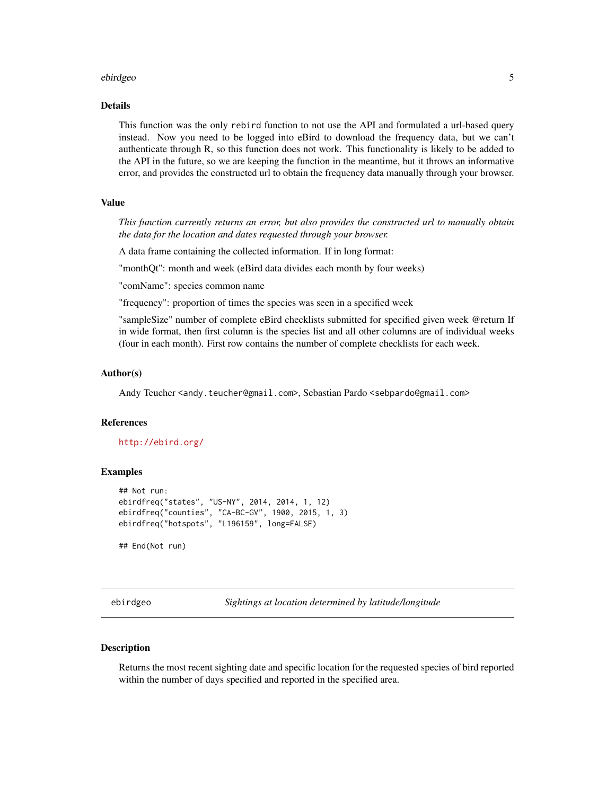#### <span id="page-4-0"></span>ebirdgeo 50 metatra. Sebagai kecil kecil kecil kecil kecil kecil kecil kecil kecil kecil kecil kecil kecil kec

#### Details

This function was the only rebird function to not use the API and formulated a url-based query instead. Now you need to be logged into eBird to download the frequency data, but we can't authenticate through R, so this function does not work. This functionality is likely to be added to the API in the future, so we are keeping the function in the meantime, but it throws an informative error, and provides the constructed url to obtain the frequency data manually through your browser.

#### Value

*This function currently returns an error, but also provides the constructed url to manually obtain the data for the location and dates requested through your browser.*

A data frame containing the collected information. If in long format:

"monthQt": month and week (eBird data divides each month by four weeks)

"comName": species common name

"frequency": proportion of times the species was seen in a specified week

"sampleSize" number of complete eBird checklists submitted for specified given week @return If in wide format, then first column is the species list and all other columns are of individual weeks (four in each month). First row contains the number of complete checklists for each week.

#### Author(s)

Andy Teucher <andy.teucher@gmail.com>, Sebastian Pardo <sebpardo@gmail.com>

#### **References**

#### <http://ebird.org/>

#### Examples

```
## Not run:
ebirdfreq("states", "US-NY", 2014, 2014, 1, 12)
ebirdfreq("counties", "CA-BC-GV", 1900, 2015, 1, 3)
ebirdfreq("hotspots", "L196159", long=FALSE)
```
## End(Not run)

ebirdgeo *Sightings at location determined by latitude/longitude*

#### **Description**

Returns the most recent sighting date and specific location for the requested species of bird reported within the number of days specified and reported in the specified area.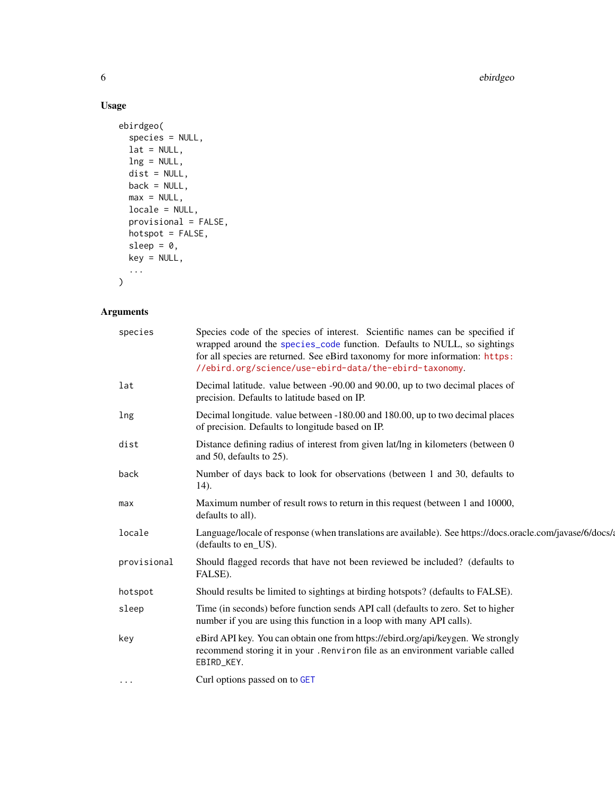6 ebirdgeo ebirdgeo ebirdgeo ebirdgeo ebirdgeo ebirdgeo ebirdgeo ebirdgeo ebirdgeo ebirdgeo ebirdgeo ebirdgeo

#### Usage

```
ebirdgeo(
  species = NULL,
  lat = NULL,ln g = NULL,dist = NULL,
  back = NULL,
  max = NULL,locale = NULL,
  provisional = FALSE,
  hotspot = FALSE,
  sleep = 0,key = NULL,
  ...
\mathcal{L}
```

| species     | Species code of the species of interest. Scientific names can be specified if<br>wrapped around the species_code function. Defaults to NULL, so sightings<br>for all species are returned. See eBird taxonomy for more information: https:<br>//ebird.org/science/use-ebird-data/the-ebird-taxonomy. |
|-------------|------------------------------------------------------------------------------------------------------------------------------------------------------------------------------------------------------------------------------------------------------------------------------------------------------|
| lat         | Decimal latitude. value between -90.00 and 90.00, up to two decimal places of<br>precision. Defaults to latitude based on IP.                                                                                                                                                                        |
| lng         | Decimal longitude. value between -180.00 and 180.00, up to two decimal places<br>of precision. Defaults to longitude based on IP.                                                                                                                                                                    |
| dist        | Distance defining radius of interest from given lat/lng in kilometers (between 0<br>and 50, defaults to 25).                                                                                                                                                                                         |
| back        | Number of days back to look for observations (between 1 and 30, defaults to<br>$(14)$ .                                                                                                                                                                                                              |
| max         | Maximum number of result rows to return in this request (between 1 and 10000,<br>defaults to all).                                                                                                                                                                                                   |
| locale      | Language/locale of response (when translations are available). See https://docs.oracle.com/javase/6/docs/4<br>(defaults to en US).                                                                                                                                                                   |
| provisional | Should flagged records that have not been reviewed be included? (defaults to<br>FALSE).                                                                                                                                                                                                              |
| hotspot     | Should results be limited to sightings at birding hotspots? (defaults to FALSE).                                                                                                                                                                                                                     |
| sleep       | Time (in seconds) before function sends API call (defaults to zero. Set to higher<br>number if you are using this function in a loop with many API calls).                                                                                                                                           |
| key         | eBird API key. You can obtain one from https://ebird.org/api/keygen. We strongly<br>recommend storing it in your. Renviron file as an environment variable called<br>EBIRD_KEY.                                                                                                                      |
| $\cdots$    | Curl options passed on to GET                                                                                                                                                                                                                                                                        |

<span id="page-5-0"></span>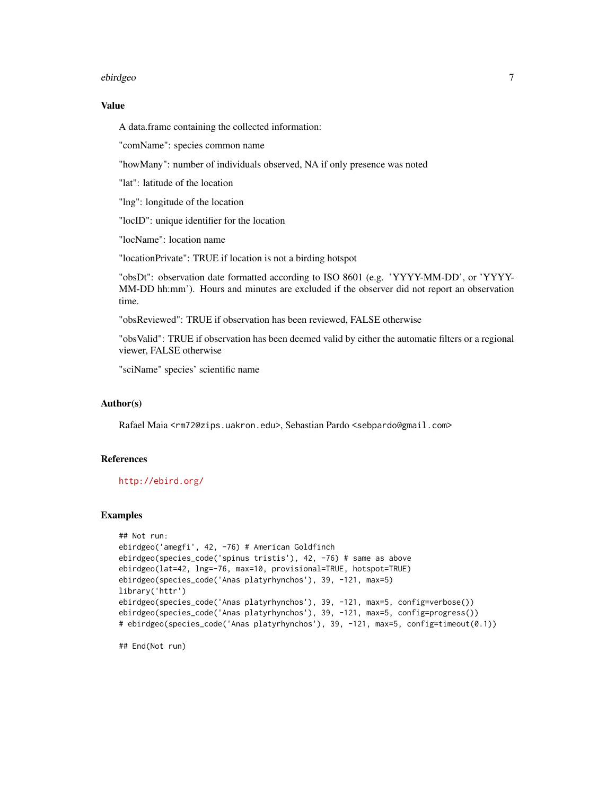#### ebirdgeo 7

#### Value

A data.frame containing the collected information:

"comName": species common name

"howMany": number of individuals observed, NA if only presence was noted

"lat": latitude of the location

"lng": longitude of the location

"locID": unique identifier for the location

"locName": location name

"locationPrivate": TRUE if location is not a birding hotspot

"obsDt": observation date formatted according to ISO 8601 (e.g. 'YYYY-MM-DD', or 'YYYY-MM-DD hh:mm'). Hours and minutes are excluded if the observer did not report an observation time.

"obsReviewed": TRUE if observation has been reviewed, FALSE otherwise

"obsValid": TRUE if observation has been deemed valid by either the automatic filters or a regional viewer, FALSE otherwise

"sciName" species' scientific name

#### Author(s)

Rafael Maia <rm72@zips.uakron.edu>, Sebastian Pardo <sebpardo@gmail.com>

#### References

<http://ebird.org/>

#### Examples

```
## Not run:
ebirdgeo('amegfi', 42, -76) # American Goldfinch
ebirdgeo(species_code('spinus tristis'), 42, -76) # same as above
ebirdgeo(lat=42, lng=-76, max=10, provisional=TRUE, hotspot=TRUE)
ebirdgeo(species_code('Anas platyrhynchos'), 39, -121, max=5)
library('httr')
ebirdgeo(species_code('Anas platyrhynchos'), 39, -121, max=5, config=verbose())
ebirdgeo(species_code('Anas platyrhynchos'), 39, -121, max=5, config=progress())
# ebirdgeo(species_code('Anas platyrhynchos'), 39, -121, max=5, config=timeout(0.1))
```
## End(Not run)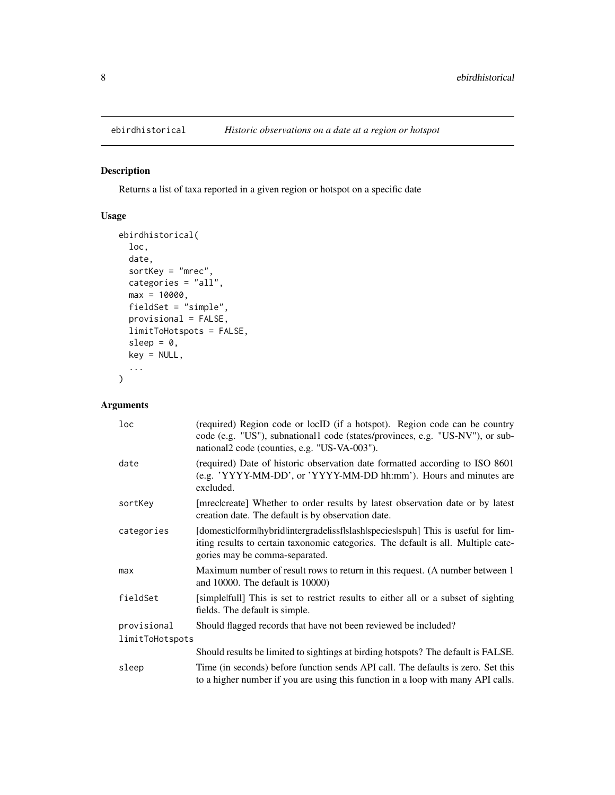<span id="page-7-0"></span>

#### Description

Returns a list of taxa reported in a given region or hotspot on a specific date

#### Usage

```
ebirdhistorical(
  loc,
  date,
  sortKey = "mrec",
  categories = "all",
  max = 10000,fieldSet = \overline{''}simple",
  provisional = FALSE,
  limitToHotspots = FALSE,
  sleep = 0,
  key = NULL,
  ...
\mathcal{L}
```

| loc             | (required) Region code or locID (if a hotspot). Region code can be country<br>code (e.g. "US"), subnational1 code (states/provinces, e.g. "US-NV"), or sub-<br>national2 code (counties, e.g. "US-VA-003"). |  |
|-----------------|-------------------------------------------------------------------------------------------------------------------------------------------------------------------------------------------------------------|--|
| date            | (required) Date of historic observation date formatted according to ISO 8601<br>(e.g. 'YYYY-MM-DD', or 'YYYY-MM-DD hh:mm'). Hours and minutes are<br>excluded.                                              |  |
| sortKey         | [mreclcreate] Whether to order results by latest observation date or by latest<br>creation date. The default is by observation date.                                                                        |  |
| categories      | [domesticlformlhybridlintergradelissflslash species spuh] This is useful for lim-<br>iting results to certain taxonomic categories. The default is all. Multiple cate-<br>gories may be comma-separated.    |  |
| max             | Maximum number of result rows to return in this request. (A number between 1<br>and 10000. The default is 10000)                                                                                            |  |
| fieldSet        | [simple]full] This is set to restrict results to either all or a subset of sighting<br>fields. The default is simple.                                                                                       |  |
| provisional     | Should flagged records that have not been reviewed be included?                                                                                                                                             |  |
| limitToHotspots |                                                                                                                                                                                                             |  |
|                 | Should results be limited to sightings at birding hotspots? The default is FALSE.                                                                                                                           |  |
| sleep           | Time (in seconds) before function sends API call. The defaults is zero. Set this<br>to a higher number if you are using this function in a loop with many API calls.                                        |  |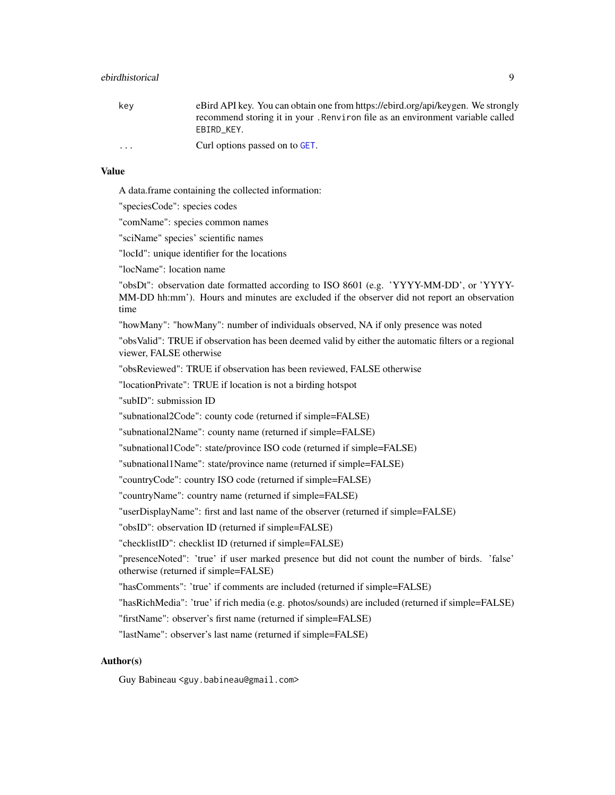<span id="page-8-0"></span>

| kev                     | eBird API key. You can obtain one from https://ebird.org/api/keygen. We strongly |
|-------------------------|----------------------------------------------------------------------------------|
|                         | recommend storing it in your. Renviron file as an environment variable called    |
|                         | EBIRD KEY.                                                                       |
| $\cdot$ $\cdot$ $\cdot$ | Curl options passed on to GET.                                                   |

#### Value

A data.frame containing the collected information:

"speciesCode": species codes

"comName": species common names

"sciName" species' scientific names

"locId": unique identifier for the locations

"locName": location name

"obsDt": observation date formatted according to ISO 8601 (e.g. 'YYYY-MM-DD', or 'YYYY-MM-DD hh:mm'). Hours and minutes are excluded if the observer did not report an observation time

"howMany": "howMany": number of individuals observed, NA if only presence was noted

"obsValid": TRUE if observation has been deemed valid by either the automatic filters or a regional viewer, FALSE otherwise

"obsReviewed": TRUE if observation has been reviewed, FALSE otherwise

"locationPrivate": TRUE if location is not a birding hotspot

"subID": submission ID

"subnational2Code": county code (returned if simple=FALSE)

"subnational2Name": county name (returned if simple=FALSE)

"subnational1Code": state/province ISO code (returned if simple=FALSE)

"subnational1Name": state/province name (returned if simple=FALSE)

"countryCode": country ISO code (returned if simple=FALSE)

"countryName": country name (returned if simple=FALSE)

"userDisplayName": first and last name of the observer (returned if simple=FALSE)

"obsID": observation ID (returned if simple=FALSE)

"checklistID": checklist ID (returned if simple=FALSE)

"presenceNoted": 'true' if user marked presence but did not count the number of birds. 'false' otherwise (returned if simple=FALSE)

"hasComments": 'true' if comments are included (returned if simple=FALSE)

"hasRichMedia": 'true' if rich media (e.g. photos/sounds) are included (returned if simple=FALSE)

"firstName": observer's first name (returned if simple=FALSE)

"lastName": observer's last name (returned if simple=FALSE)

#### Author(s)

Guy Babineau <guy.babineau@gmail.com>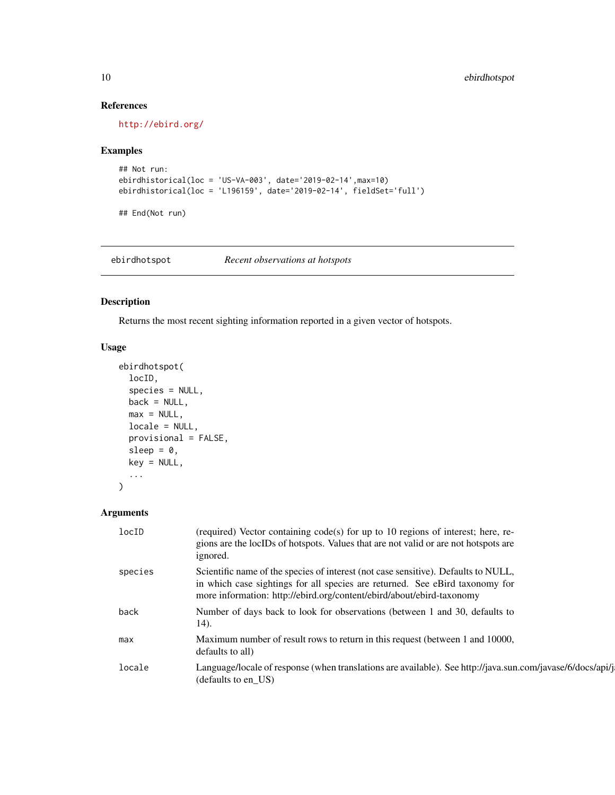#### References

<http://ebird.org/>

#### Examples

```
## Not run:
ebirdhistorical(loc = 'US-VA-003', date='2019-02-14',max=10)
ebirdhistorical(loc = 'L196159', date='2019-02-14', fieldSet='full')
```
## End(Not run)

<span id="page-9-1"></span>ebirdhotspot *Recent observations at hotspots*

#### Description

Returns the most recent sighting information reported in a given vector of hotspots.

#### Usage

```
ebirdhotspot(
  locID,
  species = NULL,
 back = NULL,max = NULL,locale = NULL,
 provisional = FALSE,
 sleep = 0,
 key = NULL,
  ...
)
```

| locID   | (required) Vector containing code(s) for up to 10 regions of interest; here, re-<br>gions are the locIDs of hotspots. Values that are not valid or are not hotspots are<br>ignored.                                                         |
|---------|---------------------------------------------------------------------------------------------------------------------------------------------------------------------------------------------------------------------------------------------|
| species | Scientific name of the species of interest (not case sensitive). Defaults to NULL,<br>in which case sightings for all species are returned. See eBird taxonomy for<br>more information: http://ebird.org/content/ebird/about/ebird-taxonomy |
| back    | Number of days back to look for observations (between 1 and 30, defaults to<br>14).                                                                                                                                                         |
| max     | Maximum number of result rows to return in this request (between 1 and 10000,<br>defaults to all)                                                                                                                                           |
| locale  | Language/locale of response (when translations are available). See http://java.sun.com/javase/6/docs/api/j<br>(defaults to en US)                                                                                                           |

<span id="page-9-0"></span>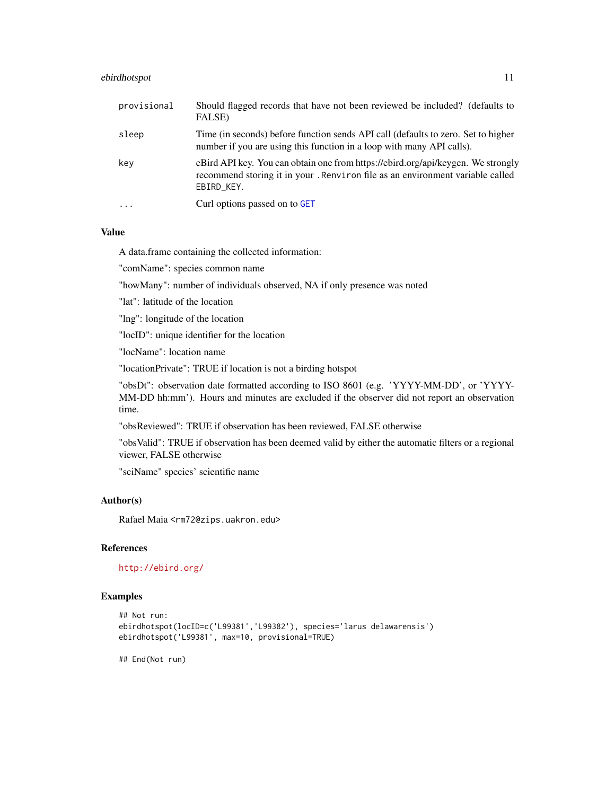#### <span id="page-10-0"></span>ebirdhotspot 11

| provisional | Should flagged records that have not been reviewed be included? (defaults to<br>FALSE)                                                                                          |
|-------------|---------------------------------------------------------------------------------------------------------------------------------------------------------------------------------|
| sleep       | Time (in seconds) before function sends API call (defaults to zero. Set to higher<br>number if you are using this function in a loop with many API calls).                      |
| kev         | eBird API key. You can obtain one from https://ebird.org/api/keygen. We strongly<br>recommend storing it in your. Renviron file as an environment variable called<br>EBIRD_KEY. |
| $\ddotsc$   | Curl options passed on to GET                                                                                                                                                   |

#### Value

A data.frame containing the collected information:

"comName": species common name

"howMany": number of individuals observed, NA if only presence was noted

"lat": latitude of the location

"lng": longitude of the location

"locID": unique identifier for the location

"locName": location name

"locationPrivate": TRUE if location is not a birding hotspot

"obsDt": observation date formatted according to ISO 8601 (e.g. 'YYYY-MM-DD', or 'YYYY-MM-DD hh:mm'). Hours and minutes are excluded if the observer did not report an observation time.

"obsReviewed": TRUE if observation has been reviewed, FALSE otherwise

"obsValid": TRUE if observation has been deemed valid by either the automatic filters or a regional viewer, FALSE otherwise

"sciName" species' scientific name

#### Author(s)

Rafael Maia <rm72@zips.uakron.edu>

#### References

<http://ebird.org/>

#### Examples

```
## Not run:
ebirdhotspot(locID=c('L99381','L99382'), species='larus delawarensis')
ebirdhotspot('L99381', max=10, provisional=TRUE)
```
## End(Not run)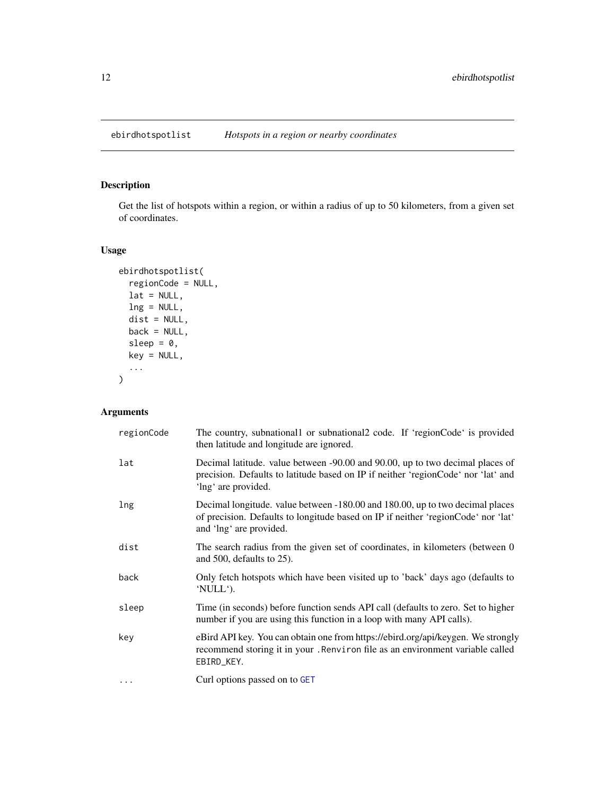<span id="page-11-0"></span>

#### Description

Get the list of hotspots within a region, or within a radius of up to 50 kilometers, from a given set of coordinates.

#### Usage

```
ebirdhotspotlist(
 regionCode = NULL,
 lat = NULL,ln g = NULL,dist = NULL,
 back = NULL,sleep = 0,
 key = NULL,
  ...
)
```

| regionCode | The country, subnational or subnational 2 code. If 'region Code' is provided<br>then latitude and longitude are ignored.                                                                      |
|------------|-----------------------------------------------------------------------------------------------------------------------------------------------------------------------------------------------|
| lat        | Decimal latitude. value between -90.00 and 90.00, up to two decimal places of<br>precision. Defaults to latitude based on IP if neither 'regionCode' nor 'lat' and<br>'lng' are provided.     |
| lng        | Decimal longitude. value between -180.00 and 180.00, up to two decimal places<br>of precision. Defaults to longitude based on IP if neither 'regionCode' nor 'lat'<br>and 'lng' are provided. |
| dist       | The search radius from the given set of coordinates, in kilometers (between 0)<br>and 500, defaults to $25$ ).                                                                                |
| back       | Only fetch hotspots which have been visited up to 'back' days ago (defaults to<br>'NULL').                                                                                                    |
| sleep      | Time (in seconds) before function sends API call (defaults to zero. Set to higher<br>number if you are using this function in a loop with many API calls).                                    |
| key        | eBird API key. You can obtain one from https://ebird.org/api/keygen. We strongly<br>recommend storing it in your . Renviron file as an environment variable called<br>EBIRD_KEY.              |
| $\ddotsc$  | Curl options passed on to GET                                                                                                                                                                 |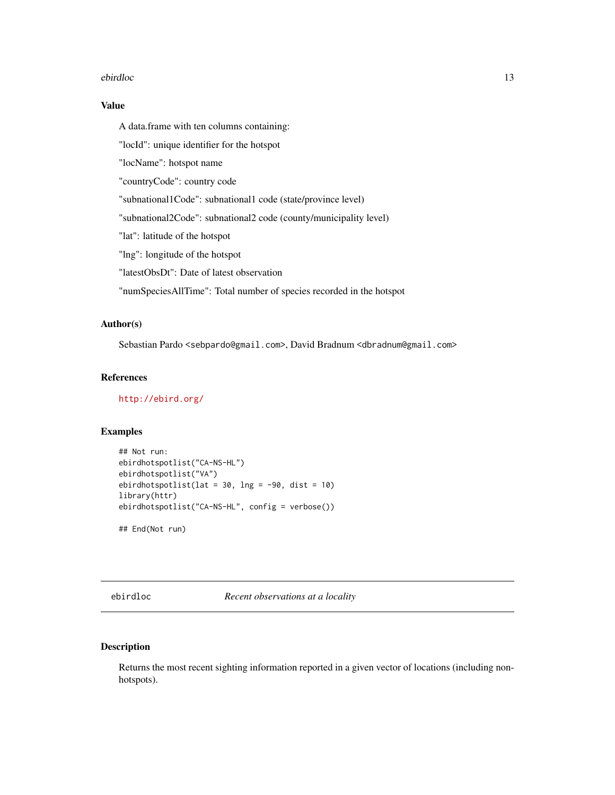#### <span id="page-12-0"></span>ebirdloc 13

#### Value

A data.frame with ten columns containing:

"locId": unique identifier for the hotspot

"locName": hotspot name

"countryCode": country code

"subnational1Code": subnational1 code (state/province level)

"subnational2Code": subnational2 code (county/municipality level)

"lat": latitude of the hotspot

"lng": longitude of the hotspot

"latestObsDt": Date of latest observation

"numSpeciesAllTime": Total number of species recorded in the hotspot

#### Author(s)

Sebastian Pardo <sebpardo@gmail.com>, David Bradnum <dbradnum@gmail.com>

#### References

<http://ebird.org/>

#### Examples

```
## Not run:
ebirdhotspotlist("CA-NS-HL")
ebirdhotspotlist("VA")
ebirdhotspotlist(lat = 30, lng = -90, dist = 10)
library(httr)
ebirdhotspotlist("CA-NS-HL", config = verbose())
## End(Not run)
```
<span id="page-12-1"></span>ebirdloc *Recent observations at a locality*

#### Description

Returns the most recent sighting information reported in a given vector of locations (including nonhotspots).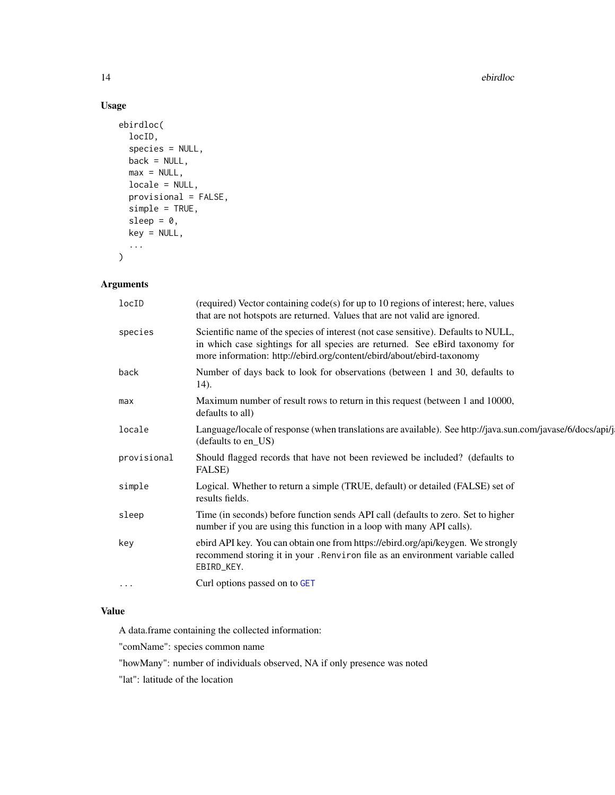14 ebirdloc

#### Usage

```
ebirdloc(
  locID,
  species = NULL,
 back = NULL,max = NULL,locale = NULL,
 provisional = FALSE,
  simple = TRUE,
  sleep = 0,
 key = NULL,...
\mathcal{L}
```
#### Arguments

| locID<br>(required) Vector containing code(s) for up to 10 regions of interest; here, values<br>that are not hotspots are returned. Values that are not valid are ignored.                                                                             |
|--------------------------------------------------------------------------------------------------------------------------------------------------------------------------------------------------------------------------------------------------------|
| Scientific name of the species of interest (not case sensitive). Defaults to NULL,<br>species<br>in which case sightings for all species are returned. See eBird taxonomy for<br>more information: http://ebird.org/content/ebird/about/ebird-taxonomy |
| Number of days back to look for observations (between 1 and 30, defaults to<br>back<br>14).                                                                                                                                                            |
| Maximum number of result rows to return in this request (between 1 and 10000,<br>max<br>defaults to all)                                                                                                                                               |
| Language/locale of response (when translations are available). See http://java.sun.com/javase/6/docs/api/j<br>locale<br>(defaults to en_US)                                                                                                            |
| Should flagged records that have not been reviewed be included? (defaults to<br>provisional<br>FALSE)                                                                                                                                                  |
| Logical. Whether to return a simple (TRUE, default) or detailed (FALSE) set of<br>simple<br>results fields.                                                                                                                                            |
| Time (in seconds) before function sends API call (defaults to zero. Set to higher<br>sleep<br>number if you are using this function in a loop with many API calls).                                                                                    |
| ebird API key. You can obtain one from https://ebird.org/api/keygen. We strongly<br>key<br>recommend storing it in your . Renviron file as an environment variable called<br>EBIRD_KEY.                                                                |
| Curl options passed on to GET<br>$\cdots$                                                                                                                                                                                                              |

#### Value

A data.frame containing the collected information:

"comName": species common name

"howMany": number of individuals observed, NA if only presence was noted

"lat": latitude of the location

<span id="page-13-0"></span>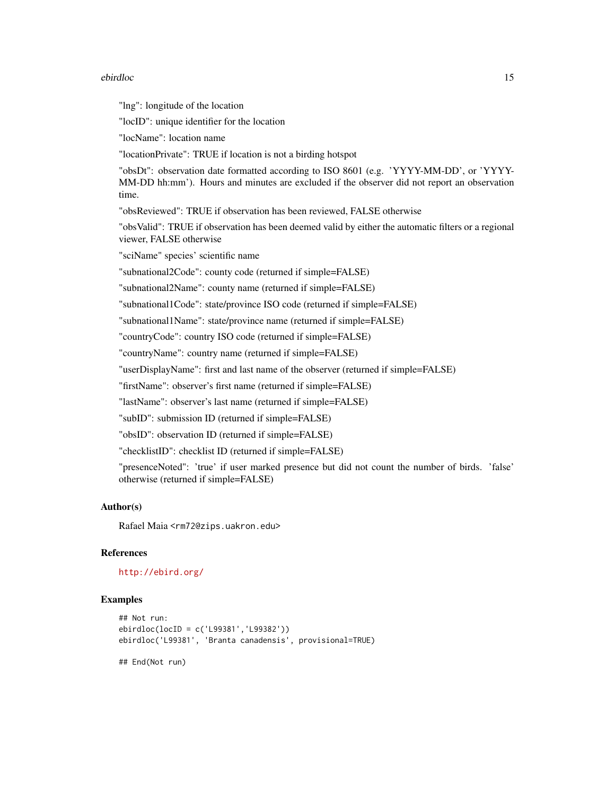#### ebirdloc 15

"lng": longitude of the location

"locID": unique identifier for the location

"locName": location name

"locationPrivate": TRUE if location is not a birding hotspot

"obsDt": observation date formatted according to ISO 8601 (e.g. 'YYYY-MM-DD', or 'YYYY-MM-DD hh:mm'). Hours and minutes are excluded if the observer did not report an observation time.

"obsReviewed": TRUE if observation has been reviewed, FALSE otherwise

"obsValid": TRUE if observation has been deemed valid by either the automatic filters or a regional viewer, FALSE otherwise

"sciName" species' scientific name

"subnational2Code": county code (returned if simple=FALSE)

"subnational2Name": county name (returned if simple=FALSE)

"subnational1Code": state/province ISO code (returned if simple=FALSE)

"subnational1Name": state/province name (returned if simple=FALSE)

"countryCode": country ISO code (returned if simple=FALSE)

"countryName": country name (returned if simple=FALSE)

"userDisplayName": first and last name of the observer (returned if simple=FALSE)

"firstName": observer's first name (returned if simple=FALSE)

"lastName": observer's last name (returned if simple=FALSE)

"subID": submission ID (returned if simple=FALSE)

"obsID": observation ID (returned if simple=FALSE)

"checklistID": checklist ID (returned if simple=FALSE)

"presenceNoted": 'true' if user marked presence but did not count the number of birds. 'false' otherwise (returned if simple=FALSE)

#### Author(s)

Rafael Maia <rm72@zips.uakron.edu>

#### References

<http://ebird.org/>

#### Examples

```
## Not run:
ebirdloc(locID = c('L99381','L99382'))
ebirdloc('L99381', 'Branta canadensis', provisional=TRUE)
```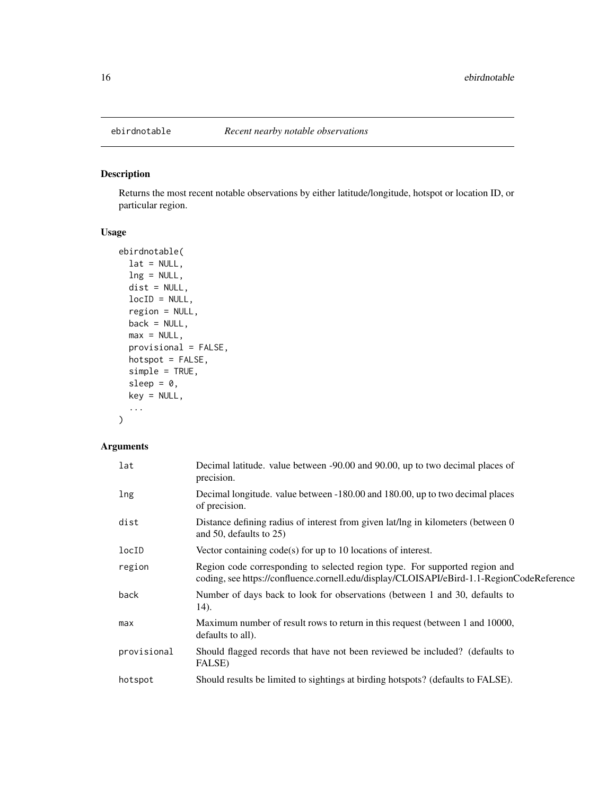<span id="page-15-0"></span>

#### Description

Returns the most recent notable observations by either latitude/longitude, hotspot or location ID, or particular region.

#### Usage

```
ebirdnotable(
 lat = NULL,lng = NULL,
 dist = NULL,locID = NULL,
 region = NULL,
 back = NULL,max = NULL,provisional = FALSE,
 hotspot = FALSE,simple = TRUE,
 sleep = 0,
 key = NULL,
  ...
)
```

| lat         | Decimal latitude. value between -90.00 and 90.00, up to two decimal places of<br>precision.                                                                              |
|-------------|--------------------------------------------------------------------------------------------------------------------------------------------------------------------------|
| lng         | Decimal longitude. value between -180.00 and 180.00, up to two decimal places<br>of precision.                                                                           |
| dist        | Distance defining radius of interest from given lat/lng in kilometers (between 0)<br>and 50, defaults to $25$ )                                                          |
| locID       | Vector containing $code(s)$ for up to 10 locations of interest.                                                                                                          |
| region      | Region code corresponding to selected region type. For supported region and<br>coding, see https://confluence.cornell.edu/display/CLOISAPI/eBird-1.1-RegionCodeReference |
| back        | Number of days back to look for observations (between 1 and 30, defaults to<br>14).                                                                                      |
| max         | Maximum number of result rows to return in this request (between 1 and 10000,<br>defaults to all).                                                                       |
| provisional | Should flagged records that have not been reviewed be included? (defaults to<br>FALSE)                                                                                   |
| hotspot     | Should results be limited to sightings at birding hotspots? (defaults to FALSE).                                                                                         |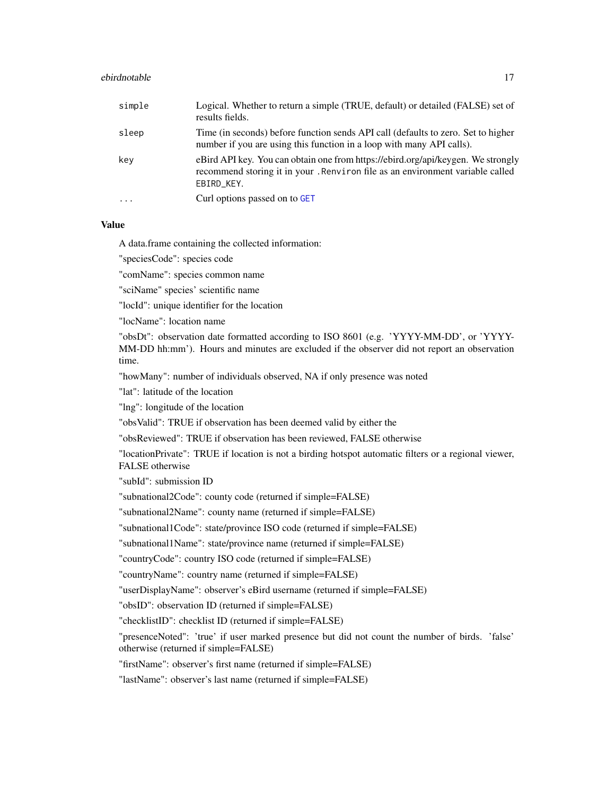#### <span id="page-16-0"></span>ebirdnotable 17

| simple    | Logical. Whether to return a simple (TRUE, default) or detailed (FALSE) set of<br>results fields.                                                                               |
|-----------|---------------------------------------------------------------------------------------------------------------------------------------------------------------------------------|
| sleep     | Time (in seconds) before function sends API call (defaults to zero. Set to higher<br>number if you are using this function in a loop with many API calls).                      |
| key       | eBird API key. You can obtain one from https://ebird.org/api/keygen. We strongly<br>recommend storing it in your. Renviron file as an environment variable called<br>EBIRD_KEY. |
| $\ddotsc$ | Curl options passed on to GET                                                                                                                                                   |

#### Value

A data.frame containing the collected information:

"speciesCode": species code

"comName": species common name

"sciName" species' scientific name

"locId": unique identifier for the location

"locName": location name

"obsDt": observation date formatted according to ISO 8601 (e.g. 'YYYY-MM-DD', or 'YYYY-MM-DD hh:mm'). Hours and minutes are excluded if the observer did not report an observation time.

"howMany": number of individuals observed, NA if only presence was noted

"lat": latitude of the location

"lng": longitude of the location

"obsValid": TRUE if observation has been deemed valid by either the

"obsReviewed": TRUE if observation has been reviewed, FALSE otherwise

"locationPrivate": TRUE if location is not a birding hotspot automatic filters or a regional viewer, FALSE otherwise

"subId": submission ID

"subnational2Code": county code (returned if simple=FALSE)

"subnational2Name": county name (returned if simple=FALSE)

"subnational1Code": state/province ISO code (returned if simple=FALSE)

"subnational1Name": state/province name (returned if simple=FALSE)

"countryCode": country ISO code (returned if simple=FALSE)

"countryName": country name (returned if simple=FALSE)

"userDisplayName": observer's eBird username (returned if simple=FALSE)

"obsID": observation ID (returned if simple=FALSE)

"checklistID": checklist ID (returned if simple=FALSE)

"presenceNoted": 'true' if user marked presence but did not count the number of birds. 'false' otherwise (returned if simple=FALSE)

"firstName": observer's first name (returned if simple=FALSE)

"lastName": observer's last name (returned if simple=FALSE)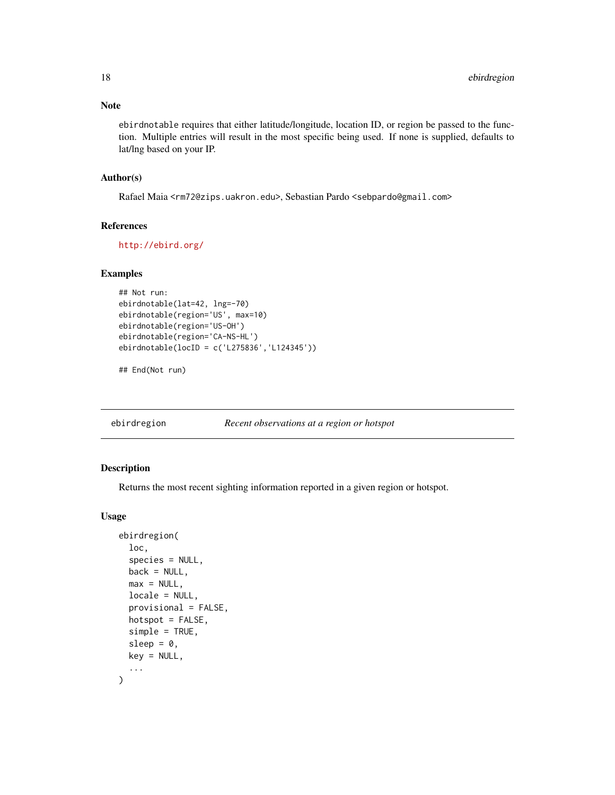#### <span id="page-17-0"></span>Note

ebirdnotable requires that either latitude/longitude, location ID, or region be passed to the function. Multiple entries will result in the most specific being used. If none is supplied, defaults to lat/lng based on your IP.

#### Author(s)

Rafael Maia <rm72@zips.uakron.edu>, Sebastian Pardo <sebpardo@gmail.com>

#### References

<http://ebird.org/>

#### Examples

```
## Not run:
ebirdnotable(lat=42, lng=-70)
ebirdnotable(region='US', max=10)
ebirdnotable(region='US-OH')
ebirdnotable(region='CA-NS-HL')
ebirdnotable(locID = c('L275836','L124345'))
```
## End(Not run)

ebirdregion *Recent observations at a region or hotspot*

#### Description

Returns the most recent sighting information reported in a given region or hotspot.

#### Usage

```
ebirdregion(
  loc,
  species = NULL,
  back = NULL,max = NULL,locale = NULL,
 provisional = FALSE,
  hotspot = FALSE,
  simple = TRUE,
  sleep = 0,
  key = NULL,
  ...
)
```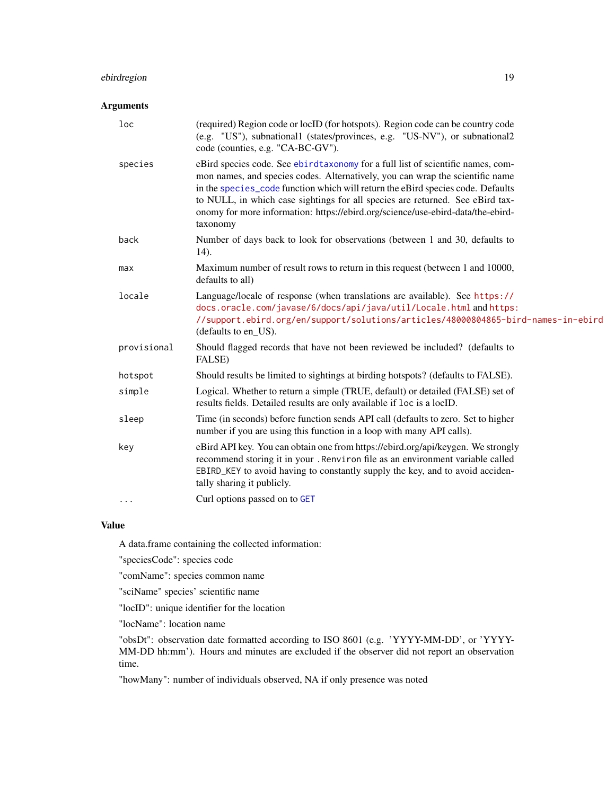#### <span id="page-18-0"></span>ebirdregion 19

#### Arguments

| $1$ oc      | (required) Region code or locID (for hotspots). Region code can be country code<br>(e.g. "US"), subnational1 (states/provinces, e.g. "US-NV"), or subnational2<br>code (counties, e.g. "CA-BC-GV").                                                                                                                                                                                                                                 |
|-------------|-------------------------------------------------------------------------------------------------------------------------------------------------------------------------------------------------------------------------------------------------------------------------------------------------------------------------------------------------------------------------------------------------------------------------------------|
| species     | eBird species code. See ebirdtaxonomy for a full list of scientific names, com-<br>mon names, and species codes. Alternatively, you can wrap the scientific name<br>in the species_code function which will return the eBird species code. Defaults<br>to NULL, in which case sightings for all species are returned. See eBird tax-<br>onomy for more information: https://ebird.org/science/use-ebird-data/the-ebird-<br>taxonomy |
| back        | Number of days back to look for observations (between 1 and 30, defaults to<br>14).                                                                                                                                                                                                                                                                                                                                                 |
| max         | Maximum number of result rows to return in this request (between 1 and 10000,<br>defaults to all)                                                                                                                                                                                                                                                                                                                                   |
| locale      | Language/locale of response (when translations are available). See https://<br>docs.oracle.com/javase/6/docs/api/java/util/Locale.html and https:<br>//support.ebird.org/en/support/solutions/articles/48000804865-bird-names-in-ebird<br>(defaults to en_US).                                                                                                                                                                      |
| provisional | Should flagged records that have not been reviewed be included? (defaults to<br>FALSE)                                                                                                                                                                                                                                                                                                                                              |
| hotspot     | Should results be limited to sightings at birding hotspots? (defaults to FALSE).                                                                                                                                                                                                                                                                                                                                                    |
| simple      | Logical. Whether to return a simple (TRUE, default) or detailed (FALSE) set of<br>results fields. Detailed results are only available if loc is a locID.                                                                                                                                                                                                                                                                            |
| sleep       | Time (in seconds) before function sends API call (defaults to zero. Set to higher<br>number if you are using this function in a loop with many API calls).                                                                                                                                                                                                                                                                          |
| key         | eBird API key. You can obtain one from https://ebird.org/api/keygen. We strongly<br>recommend storing it in your. Renviron file as an environment variable called<br>EBIRD_KEY to avoid having to constantly supply the key, and to avoid acciden-<br>tally sharing it publicly.                                                                                                                                                    |
| $\cdots$    | Curl options passed on to GET                                                                                                                                                                                                                                                                                                                                                                                                       |

#### Value

A data.frame containing the collected information:

"speciesCode": species code

"comName": species common name

"sciName" species' scientific name

"locID": unique identifier for the location

"locName": location name

"obsDt": observation date formatted according to ISO 8601 (e.g. 'YYYY-MM-DD', or 'YYYY-MM-DD hh:mm'). Hours and minutes are excluded if the observer did not report an observation time.

"howMany": number of individuals observed, NA if only presence was noted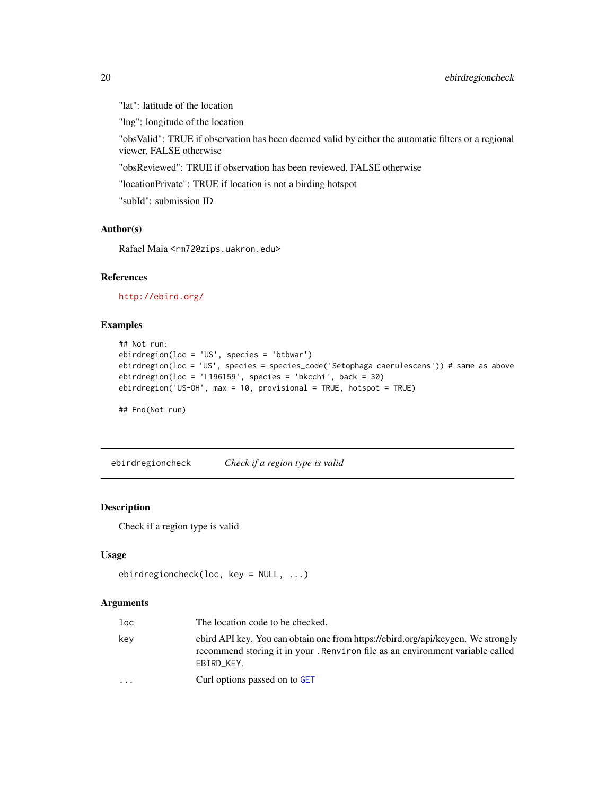<span id="page-19-0"></span>"lat": latitude of the location

"lng": longitude of the location

"obsValid": TRUE if observation has been deemed valid by either the automatic filters or a regional viewer, FALSE otherwise

"obsReviewed": TRUE if observation has been reviewed, FALSE otherwise

"locationPrivate": TRUE if location is not a birding hotspot

"subId": submission ID

#### Author(s)

Rafael Maia <rm72@zips.uakron.edu>

#### References

<http://ebird.org/>

#### Examples

```
## Not run:
ebirdregion(loc = 'US', species = 'btbwar')
ebirdregion(loc = 'US', species = species_code('Setophaga caerulescens')) # same as above
ebirdregion(loc = 'L196159', species = 'bkcchi', back = 30)
ebirdregion('US-OH', max = 10, provisional = TRUE, hotspot = TRUE)
```
## End(Not run)

<span id="page-19-1"></span>ebirdregioncheck *Check if a region type is valid*

#### Description

Check if a region type is valid

#### Usage

```
ebirdregioncheck(loc, key = NULL, ...)
```

| loc                     | The location code to be checked.                                                                                                                                                |
|-------------------------|---------------------------------------------------------------------------------------------------------------------------------------------------------------------------------|
| kev                     | ebird API key. You can obtain one from https://ebird.org/api/keygen. We strongly<br>recommend storing it in your. Renviron file as an environment variable called<br>EBIRD KEY. |
| $\cdot$ $\cdot$ $\cdot$ | Curl options passed on to GET                                                                                                                                                   |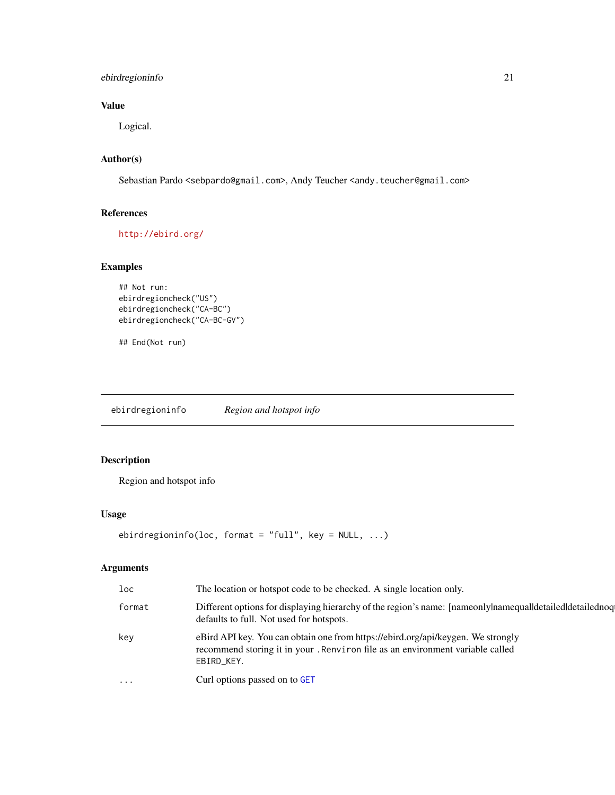#### <span id="page-20-0"></span>ebirdregioninfo 21

#### Value

Logical.

#### Author(s)

Sebastian Pardo <sebpardo@gmail.com>, Andy Teucher <andy.teucher@gmail.com>

#### References

<http://ebird.org/>

#### Examples

```
## Not run:
ebirdregioncheck("US")
ebirdregioncheck("CA-BC")
ebirdregioncheck("CA-BC-GV")
```
## End(Not run)

ebirdregioninfo *Region and hotspot info*

#### Description

Region and hotspot info

#### Usage

```
ebirdregioninfo(loc, format = "full", key = NULL, ...)
```

| loc      | The location or hotspot code to be checked. A single location only.                                                                                                             |
|----------|---------------------------------------------------------------------------------------------------------------------------------------------------------------------------------|
| format   | Different options for displaying hierarchy of the region's name: [nameonly namequal detailed detailed org<br>defaults to full. Not used for hotspots.                           |
| key      | eBird API key. You can obtain one from https://ebird.org/api/keygen. We strongly<br>recommend storing it in your. Renviron file as an environment variable called<br>EBIRD_KEY. |
| $\cdots$ | Curl options passed on to GET                                                                                                                                                   |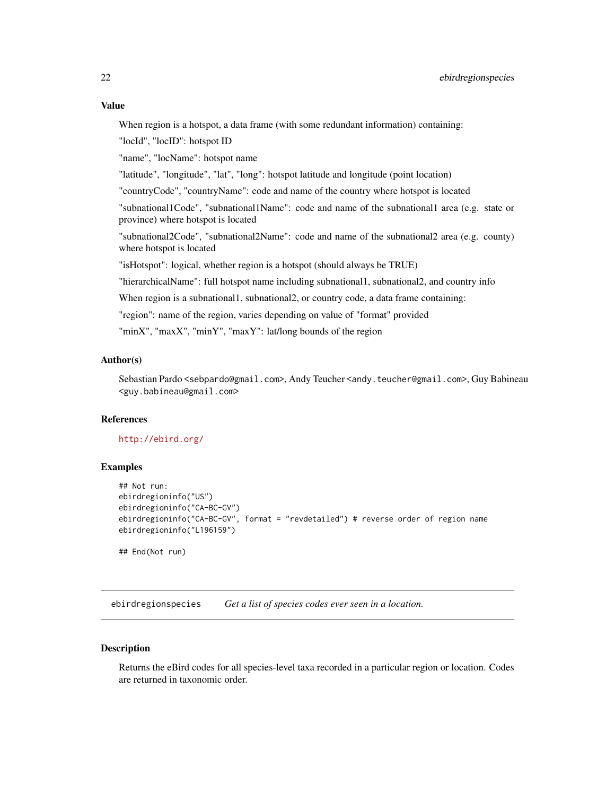#### <span id="page-21-0"></span>Value

When region is a hotspot, a data frame (with some redundant information) containing:

"locId", "locID": hotspot ID

"name", "locName": hotspot name

"latitude", "longitude", "lat", "long": hotspot latitude and longitude (point location)

"countryCode", "countryName": code and name of the country where hotspot is located

"subnational1Code", "subnational1Name": code and name of the subnational1 area (e.g. state or province) where hotspot is located

"subnational2Code", "subnational2Name": code and name of the subnational2 area (e.g. county) where hotspot is located

"isHotspot": logical, whether region is a hotspot (should always be TRUE)

"hierarchicalName": full hotspot name including subnational1, subnational2, and country info

When region is a subnational1, subnational2, or country code, a data frame containing:

"region": name of the region, varies depending on value of "format" provided

"minX", "maxX", "minY", "maxY": lat/long bounds of the region

#### Author(s)

Sebastian Pardo <sebpardo@gmail.com>, Andy Teucher <andy.teucher@gmail.com>, Guy Babineau <guy.babineau@gmail.com>

#### References

<http://ebird.org/>

#### Examples

```
## Not run:
ebirdregioninfo("US")
ebirdregioninfo("CA-BC-GV")
ebirdregioninfo("CA-BC-GV", format = "revdetailed") # reverse order of region name
ebirdregioninfo("L196159")
## End(Not run)
```
ebirdregionspecies *Get a list of species codes ever seen in a location.*

#### **Description**

Returns the eBird codes for all species-level taxa recorded in a particular region or location. Codes are returned in taxonomic order.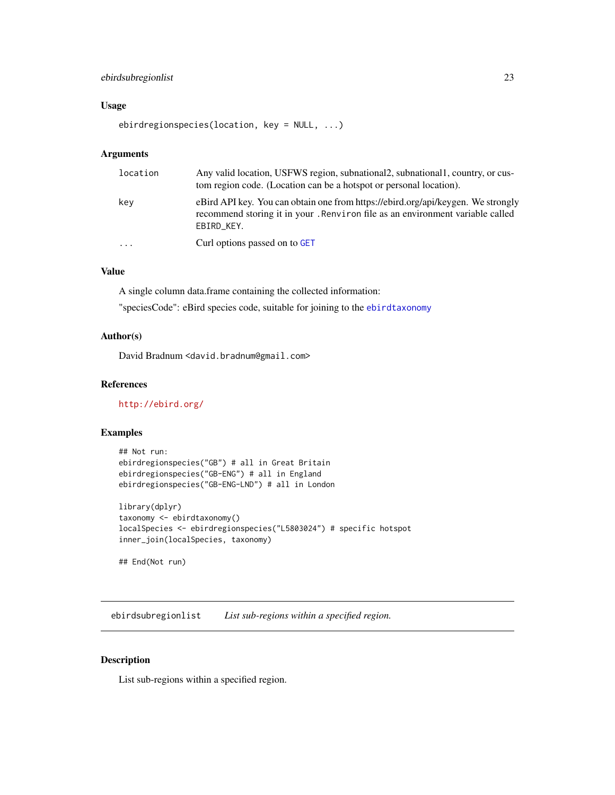#### <span id="page-22-0"></span>ebirdsubregionlist 23

#### Usage

ebirdregionspecies(location, key = NULL, ...)

#### Arguments

| location                | Any valid location, USFWS region, subnational 2, subnational 1, country, or cus-<br>tom region code. (Location can be a hotspot or personal location).                          |
|-------------------------|---------------------------------------------------------------------------------------------------------------------------------------------------------------------------------|
| key                     | eBird API key. You can obtain one from https://ebird.org/api/keygen. We strongly<br>recommend storing it in your. Renviron file as an environment variable called<br>EBIRD KEY. |
| $\cdot$ $\cdot$ $\cdot$ | Curl options passed on to GET                                                                                                                                                   |

#### Value

A single column data.frame containing the collected information:

"speciesCode": eBird species code, suitable for joining to the [ebirdtaxonomy](#page-24-1)

#### Author(s)

David Bradnum <david.bradnum@gmail.com>

#### References

<http://ebird.org/>

#### Examples

```
## Not run:
ebirdregionspecies("GB") # all in Great Britain
ebirdregionspecies("GB-ENG") # all in England
ebirdregionspecies("GB-ENG-LND") # all in London
```

```
library(dplyr)
taxonomy <- ebirdtaxonomy()
localSpecies <- ebirdregionspecies("L5803024") # specific hotspot
inner_join(localSpecies, taxonomy)
```

```
## End(Not run)
```
ebirdsubregionlist *List sub-regions within a specified region.*

#### Description

List sub-regions within a specified region.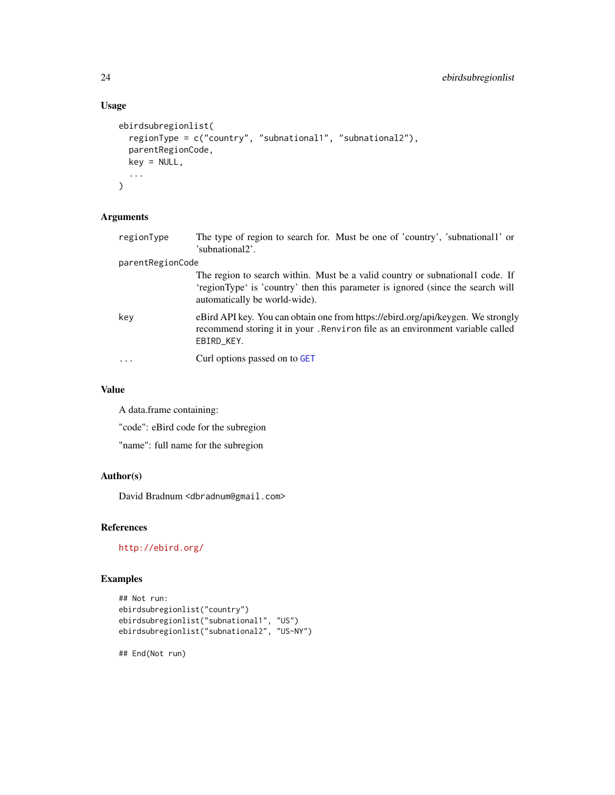#### Usage

```
ebirdsubregionlist(
  regionType = c("country", "subnational1", "subnational2"),
  parentRegionCode,
  key = NULL,
  ...
\mathcal{L}
```
#### Arguments

| regionType       | The type of region to search for. Must be one of 'country', 'subnational1' or<br>'subnational2'.                                                                                                 |
|------------------|--------------------------------------------------------------------------------------------------------------------------------------------------------------------------------------------------|
| parentRegionCode |                                                                                                                                                                                                  |
|                  | The region to search within. Must be a valid country or subnational code. If<br>'regionType' is 'country' then this parameter is ignored (since the search will<br>automatically be world-wide). |
| key              | eBird API key. You can obtain one from https://ebird.org/api/keygen. We strongly<br>recommend storing it in your. Renviron file as an environment variable called<br>EBIRD_KEY.                  |
| $\ddots$         | Curl options passed on to GET                                                                                                                                                                    |
|                  |                                                                                                                                                                                                  |

#### Value

A data.frame containing:

"code": eBird code for the subregion

"name": full name for the subregion

#### Author(s)

David Bradnum <dbradnum@gmail.com>

#### References

<http://ebird.org/>

#### Examples

```
## Not run:
ebirdsubregionlist("country")
ebirdsubregionlist("subnational1", "US")
ebirdsubregionlist("subnational2", "US-NY")
```
## End(Not run)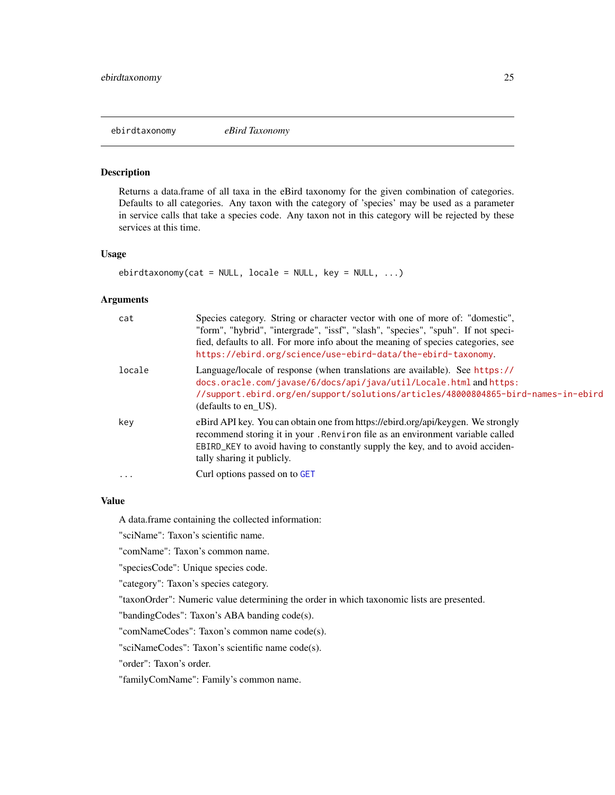<span id="page-24-1"></span><span id="page-24-0"></span>ebirdtaxonomy *eBird Taxonomy*

#### Description

Returns a data.frame of all taxa in the eBird taxonomy for the given combination of categories. Defaults to all categories. Any taxon with the category of 'species' may be used as a parameter in service calls that take a species code. Any taxon not in this category will be rejected by these services at this time.

#### Usage

```
ebirdtaxonomy(cat = NULL, locale = NULL, key = NULL, ...)
```
#### Arguments

| cat      | Species category. String or character vector with one of more of: "domestic",<br>"form", "hybrid", "intergrade", "issf", "slash", "species", "spuh". If not speci-<br>fied, defaults to all. For more info about the meaning of species categories, see<br>https://ebird.org/science/use-ebird-data/the-ebird-taxonomy. |
|----------|-------------------------------------------------------------------------------------------------------------------------------------------------------------------------------------------------------------------------------------------------------------------------------------------------------------------------|
| locale   | Language/locale of response (when translations are available). See https://<br>docs.oracle.com/javase/6/docs/api/java/util/Locale.html and https:<br>//support.ebird.org/en/support/solutions/articles/48000804865-bird-names-in-ebird<br>(defaults to en US).                                                          |
| key      | eBird API key. You can obtain one from https://ebird.org/api/keygen. We strongly<br>recommend storing it in your. Renviron file as an environment variable called<br>EBIRD_KEY to avoid having to constantly supply the key, and to avoid acciden-<br>tally sharing it publicly.                                        |
| $\cdots$ | Curl options passed on to GET                                                                                                                                                                                                                                                                                           |

#### Value

A data.frame containing the collected information:

"sciName": Taxon's scientific name.

"comName": Taxon's common name.

"speciesCode": Unique species code.

"category": Taxon's species category.

"taxonOrder": Numeric value determining the order in which taxonomic lists are presented.

"bandingCodes": Taxon's ABA banding code(s).

"comNameCodes": Taxon's common name code(s).

"sciNameCodes": Taxon's scientific name code(s).

"order": Taxon's order.

"familyComName": Family's common name.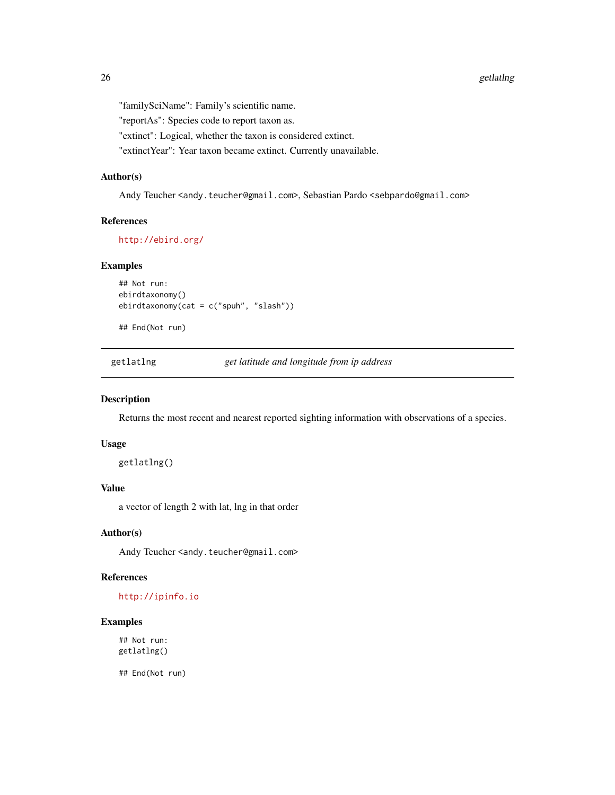<span id="page-25-0"></span>"familySciName": Family's scientific name.

"reportAs": Species code to report taxon as.

"extinct": Logical, whether the taxon is considered extinct.

"extinctYear": Year taxon became extinct. Currently unavailable.

#### Author(s)

Andy Teucher <andy.teucher@gmail.com>, Sebastian Pardo <sebpardo@gmail.com>

#### References

<http://ebird.org/>

#### Examples

```
## Not run:
ebirdtaxonomy()
ebirdtaxonomy(cat = c("spuh", "slash"))
```
## End(Not run)

getlatlng *get latitude and longitude from ip address*

#### Description

Returns the most recent and nearest reported sighting information with observations of a species.

#### Usage

getlatlng()

#### Value

a vector of length 2 with lat, lng in that order

#### Author(s)

Andy Teucher <andy.teucher@gmail.com>

#### References

#### <http://ipinfo.io>

#### Examples

## Not run: getlatlng()

## End(Not run)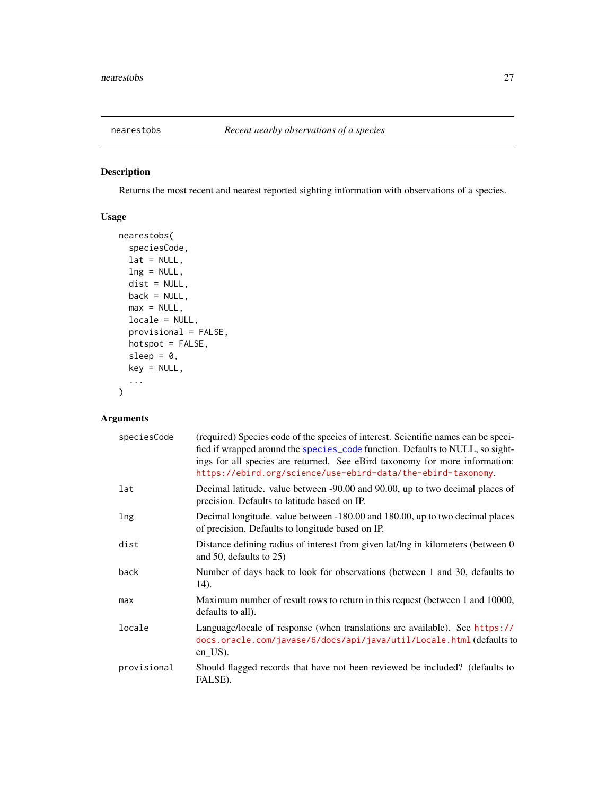<span id="page-26-0"></span>

#### Description

Returns the most recent and nearest reported sighting information with observations of a species.

#### Usage

```
nearestobs(
  speciesCode,
 lat = NULL,ln g = NULL,dist = NULL,back = NULL,max = NULL,locale = NULL,
 provisional = FALSE,
 hotspot = FALSE,
 sleep = 0,
 key = NULL,
  ...
)
```

| speciesCode | (required) Species code of the species of interest. Scientific names can be speci-<br>fied if wrapped around the species_code function. Defaults to NULL, so sight-<br>ings for all species are returned. See eBird taxonomy for more information:<br>https://ebird.org/science/use-ebird-data/the-ebird-taxonomy. |
|-------------|--------------------------------------------------------------------------------------------------------------------------------------------------------------------------------------------------------------------------------------------------------------------------------------------------------------------|
| lat         | Decimal latitude. value between -90.00 and 90.00, up to two decimal places of<br>precision. Defaults to latitude based on IP.                                                                                                                                                                                      |
| lng         | Decimal longitude. value between -180.00 and 180.00, up to two decimal places<br>of precision. Defaults to longitude based on IP.                                                                                                                                                                                  |
| dist        | Distance defining radius of interest from given lat/lng in kilometers (between 0)<br>and 50, defaults to $25$ )                                                                                                                                                                                                    |
| back        | Number of days back to look for observations (between 1 and 30, defaults to<br>14).                                                                                                                                                                                                                                |
| max         | Maximum number of result rows to return in this request (between 1 and 10000,<br>defaults to all).                                                                                                                                                                                                                 |
| locale      | Language/locale of response (when translations are available). See https://<br>docs.oracle.com/javase/6/docs/api/java/util/Locale.html (defaults to<br>$en$ _US $)$ .                                                                                                                                              |
| provisional | Should flagged records that have not been reviewed be included? (defaults to<br>FALSE).                                                                                                                                                                                                                            |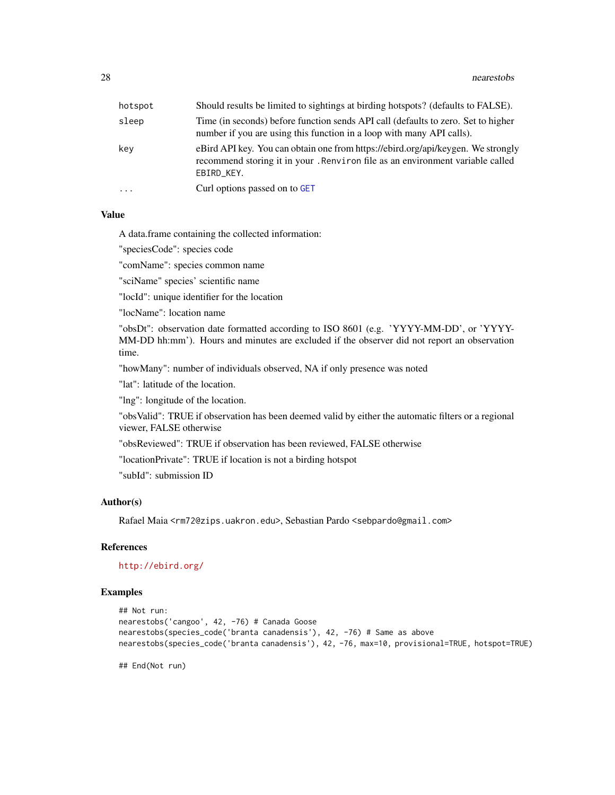<span id="page-27-0"></span>

| hotspot  | Should results be limited to sightings at birding hotspots? (defaults to FALSE).                                                                                                |
|----------|---------------------------------------------------------------------------------------------------------------------------------------------------------------------------------|
| sleep    | Time (in seconds) before function sends API call (defaults to zero. Set to higher<br>number if you are using this function in a loop with many API calls).                      |
| kev      | eBird API key. You can obtain one from https://ebird.org/api/keygen. We strongly<br>recommend storing it in your. Renviron file as an environment variable called<br>EBIRD_KEY. |
| $\cdots$ | Curl options passed on to GET                                                                                                                                                   |

#### Value

A data.frame containing the collected information:

"speciesCode": species code

"comName": species common name

"sciName" species' scientific name

"locId": unique identifier for the location

"locName": location name

"obsDt": observation date formatted according to ISO 8601 (e.g. 'YYYY-MM-DD', or 'YYYY-MM-DD hh:mm'). Hours and minutes are excluded if the observer did not report an observation time.

"howMany": number of individuals observed, NA if only presence was noted

"lat": latitude of the location.

"lng": longitude of the location.

"obsValid": TRUE if observation has been deemed valid by either the automatic filters or a regional viewer, FALSE otherwise

"obsReviewed": TRUE if observation has been reviewed, FALSE otherwise

"locationPrivate": TRUE if location is not a birding hotspot

"subId": submission ID

#### Author(s)

Rafael Maia <rm72@zips.uakron.edu>, Sebastian Pardo <sebpardo@gmail.com>

#### References

<http://ebird.org/>

#### Examples

```
## Not run:
nearestobs('cangoo', 42, -76) # Canada Goose
nearestobs(species_code('branta canadensis'), 42, -76) # Same as above
nearestobs(species_code('branta canadensis'), 42, -76, max=10, provisional=TRUE, hotspot=TRUE)
```
## End(Not run)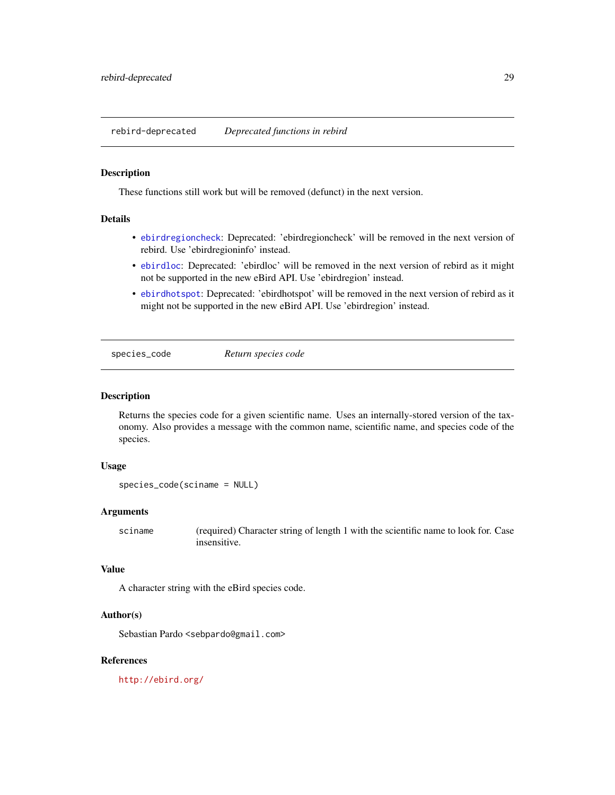<span id="page-28-0"></span>rebird-deprecated *Deprecated functions in rebird*

#### Description

These functions still work but will be removed (defunct) in the next version.

#### Details

- [ebirdregioncheck](#page-19-1): Deprecated: 'ebirdregioncheck' will be removed in the next version of rebird. Use 'ebirdregioninfo' instead.
- [ebirdloc](#page-12-1): Deprecated: 'ebirdloc' will be removed in the next version of rebird as it might not be supported in the new eBird API. Use 'ebirdregion' instead.
- [ebirdhotspot](#page-9-1): Deprecated: 'ebirdhotspot' will be removed in the next version of rebird as it might not be supported in the new eBird API. Use 'ebirdregion' instead.

<span id="page-28-1"></span>species\_code *Return species code*

#### Description

Returns the species code for a given scientific name. Uses an internally-stored version of the taxonomy. Also provides a message with the common name, scientific name, and species code of the species.

#### Usage

```
species_code(sciname = NULL)
```
#### Arguments

sciname (required) Character string of length 1 with the scientific name to look for. Case insensitive.

#### Value

A character string with the eBird species code.

#### Author(s)

Sebastian Pardo <sebpardo@gmail.com>

#### References

<http://ebird.org/>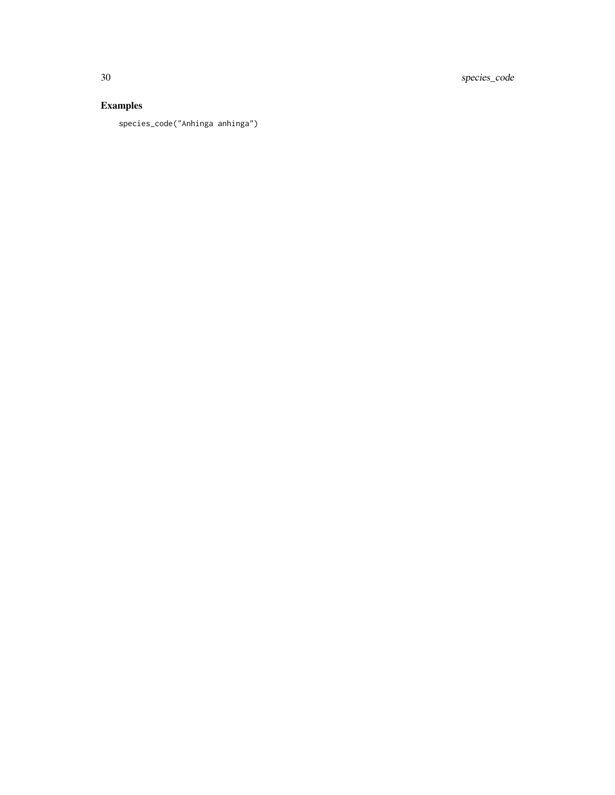30 species\_code

### Examples

species\_code("Anhinga anhinga")